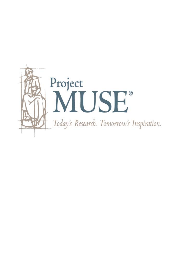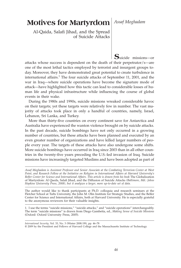# *Assaf Moghadam*

# **Motives for Martyrdom**

Al-Qaida, Salafi Jihad, and the Spread of Suicide Attacks

**S**uicide missions—or attacks whose success is dependent on the death of their perpetrator/s—are one of the most lethal tactics employed by terrorist and insurgent groups today. Moreover, they have demonstrated great potential to create turbulence in international affairs.<sup>1</sup> The four suicide attacks of September 11, 2001, and the war in Iraq—where suicide operations have become the signature mode of attack—have highlighted how this tactic can lead to considerable losses of human life and physical infrastructure while influencing the course of global events in their wake.

During the 1980s and 1990s, suicide missions wreaked considerable havoc on their targets; yet these targets were relatively few in number. The vast majority of attacks took place in only a handful of countries, namely, Israel, Lebanon, Sri Lanka, and Turkey.

More than thirty-five countries on every continent save for Antarctica and Australia have experienced the wanton violence brought on by suicide attacks. In the past decade, suicide bombings have not only occurred in a growing number of countries, but these attacks have been planned and executed by an even greater number of organizations and have killed larger numbers of people every year. The targets of these attacks have also undergone some shifts. More suicide bombings have occurred in Iraq since 2003 than in all other countries in the twenty-five years preceding the U.S.-led invasion of Iraq. Suicide missions have increasingly targeted Muslims and have been adopted as part of

*Assaf Moghadam is Assistant Professor and Senior Associate at the Combating Terrorism Center at West Point, and Research Fellow at the Initiative on Religion in International Affairs at Harvard University's Belfer Center for Science and International Affairs. This article is drawn from his book* The Globalization of Martyrdom: Al Qaeda, Salafi Jihad, and the Diffusion of Suicide Attacks (Baltimore, Md.: Johns *Hopkins University Press, 2008), but it analyzes a larger, more up-to-date set of data.*

The author would like to thank participants at Ph.D. colloquia and research seminars at the Fletcher School at Tufts University, the John M. Olin Institute for Strategic Studies, and the Belfer Center for Science and International Affairs, both at Harvard University. He is especially grateful to the anonymous reviewers for their valuable insights.

1. I use the terms "suicide missions," "suicide attacks," and "suicide operations" interchangeably. The term "suicide missions" is drawn from Diego Gambetta, ed., *Making Sense of Suicide Missions* (Oxford: Oxford University Press, 2005).

*International Security,* Vol. 33, No. 3 (Winter 2008/09), pp. 46–78 © 2009 by the President and Fellows of Harvard College and the Massachusetts Institute of Technology.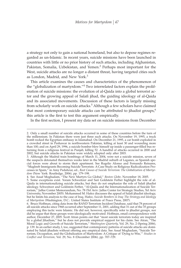a strategy not only to gain a national homeland, but also to depose regimes regarded as un-Islamic. In recent years, suicide missions have been launched in countries with little or no prior history of such attacks, including Afghanistan, Pakistan, Somalia, Uzbekistan, and Yemen.<sup>2</sup> Perhaps most important for the West, suicide attacks are no longer a distant threat, having targeted cities such as London, Madrid, and New York.<sup>3</sup>

This article examines the causes and characteristics of the phenomenon of the "globalization of martyrdom."<sup>4</sup> Two interrelated factors explain the proliferation of suicide missions: the evolution of al-Qaida into a global terrorist actor and the growing appeal of Salafi jihad, the guiding ideology of al-Qaida and its associated movements. Discussion of these factors is largely missing from scholarly work on suicide attacks.<sup>5</sup> Although a few scholars have claimed that most contemporary suicide attacks can be attributed to jihadist groups, $6$ this article is the first to test this argument empirically.

In the first section, I present my data set on suicide missions from December

4. See Assaf Moghadam, "The New Martyrs Go Global," *Boston Globe,* November 18, 2005.

5. Some exceptions exist. Yoram Schweitzer and Sari Goldstein Ferber highlight the role of al-Qaida in internationalizing suicide attacks, but they do not emphasize the role of Salafi jihadist ideology. Schweitzer and Goldstein Ferber, "Al-Qaida and the Internationalization of Suicide Terrorism," Jaffee Center Memorandum, No. 78 (Tel Aviv: Jaffee Center for Strategic Studies, Tel Aviv University, November 2005). Mohammed M. Hafez discusses the appeal of Salafi jihadist ideology, but he limits his analysis to the case of Iraq. Hafez, *Suicide Bombers in Iraq: The Strategy and Ideology of Martyrdom* (Washington, D.C.: United States Institute of Peace Press, 2007).

6. Bruce Hoffman, citing data from the RAND Terrorism Incident Database, said that 78 percent of all suicide attacks since 1968 occurred after September 11, 2001, adding that 31 out of the 35 groups employing this tactic were Islamic. He did not, however, specifically refer to jihadist groups, nor did he argue that these groups were ideologically motivated. Hoffman, email correspondence with author, December 27, 2005. Scott Atran points out that "most suicide terrorists today are inspired by a global Jihadism," but he does not provide empirical support for his claim. See Atran, "The Moral Logic and Growth of Suicide Terrorism," *Washington Quarterly,* Vol. 29, No. 2 (Spring 2006), p. 139. In an earlier study, I, too, suggested that contemporary patterns of suicide attacks are dominated by Salafi jihadists without offering any empirical data. See Assaf Moghadam, "Suicide Terrorism, Occupation, and the Globalization of Martyrdom: A Critique of 'Dying to Win,'" *Studies in Conflict and Terrorism, Vol. 29, No. 8 (December 2006), pp. 707-729.* 

<sup>2.</sup> Only a small number of suicide attacks occurred in some of these countries before the turn of the millennium. In Pakistan there were just three such attacks. On November 19, 1995, a truck bomb rocked the Egyptian embassy in Islamabad. On December 21, 1995, a car bomb exploded in a crowded street in Peshawar in northwestern Pakistan, killing at least 30 and wounding more than 100; and on April 29, 1996, a suicide bomber blew himself up inside a passenger-filled bus returning from a religious festival in Punjab, killing 52. A handful of attacks occurred in 2000 and 2002, but suicide attacks in Pakistan were widely adopted only after 2003.

<sup>3.</sup> Although the Madrid train bombings of March 11, 2004, were not a suicide mission, seven of the suspects detonated themselves weeks later in the Madrid suburb of Leganes, as Spanish special forces were about to storm their apartment. See Rogelio Alonso and Fernando Reinares, "Maghreb Immigrants Becoming Suicide Terrorists: A Case Study on Religious Radicalization Processes in Spain," in Amy Pedahzur, ed., *Root Causes of Suicide Terrorism: The Globalization of Martyrdom* (New York: Routledge, 2006), pp. 179–198.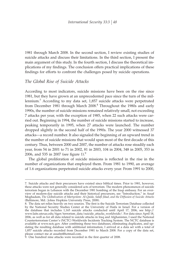1981 through March 2008. In the second section, I review existing studies of suicide attacks and discuss their limitations. In the third section, I present the main argument of this study. In the fourth section, I discuss the theoretical implications of my findings. The conclusion offers practical implications of these findings for efforts to confront the challenges posed by suicide operations.

# *The Global Rise of Suicide Attacks*

According to most indicators, suicide missions have been on the rise since 1981, but they have grown at an unprecedented pace since the turn of the millennium.<sup>7</sup> According to my data set,  $1,857$  suicide attacks were perpetrated from December 1981 through March 2008.<sup>8</sup> Throughout the 1980s and early 1990s, the number of suicide missions remained relatively small, not exceeding 7 attacks per year, with the exception of 1985, when 22 such attacks were carried out. Beginning in 1994, the number of suicide missions started to increase, peaking temporarily in 1995, when 27 attacks were launched. The number dropped slightly in the second half of the 1990s. The year 2000 witnessed 37 attacks—a record number. It also signaled the beginning of an upward trend in the number of suicide missions that would span most of the first decade of this century. Thus, between 2000 and 2007, the number of attacks rose steadily each year, from 54 in 2001 to 71 in 2002, 81 in 2003, 104 in 2004, 348 in 2005, 353 in 2006, and 535 in 2007 (see figure 1).<sup>9</sup>

The global proliferation of suicide missions is reflected in the rise in the number of organizations that employed them. From 1981 to 1990, an average of 1.6 organizations perpetrated suicide attacks every year. From 1991 to 2000,

 $9.$  One hundred nine attacks were recorded in the first quarter of 2008.

<sup>7.</sup> Suicide attacks and their precursors have existed since biblical times. Prior to 1981, however, these attacks were not generally considered acts of terrorism. The modern phenomenon of suicide terrorism began in Lebanon with the December 1981 bombing of the Iraqi embassy. For an overview of modern-day suicide attacks and their historical precursors, see "Introduction," in Assaf Moghadam, *The Globalization of Martyrdom: Al-Qaida, Salaª Jihad, and the Diffusion of Suicide Attacks* (Baltimore, Md.: Johns Hopkins University Press, 2008).

<sup>8.</sup> The data set relies heavily on two sources. The first is the Suicide Terrorism Database collected by the National Security Studies Center at the University of Haifa in Israel. For a version of the database that includes 1,165 suicide attacks conducted until April 17, 2006, see http:// www.laits.utexas.edu/tiger/terrorism\_data/suicide\_attacks\_worldwide/. For data since April 18, 2006, as well as for all data related to suicide attacks in Iraq and Afghanistan, I used the National Counterterrorism Center's (NCTC) Worldwide Incidents Tracking System. The NCTC database is available at www.nctc.gov. After combining these two databases, eliminating duplicates, and updating the resulting database with additional information, I arrived at a data set with a total of 1,857 suicide attacks recorded from December 1981 to March 2008. For a copy of the data set, please contact me at assafm@hotmail.com.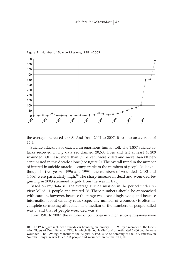

Figure 1. Number of Suicide Missions, 1981–2007

the average increased to 4.8. And from 2001 to 2007, it rose to an average of 14.3.

Suicide attacks have exacted an enormous human toll. The 1,857 suicide attacks recorded in my data set claimed 20,603 lives and left at least 48,209 wounded. Of these, more than 87 percent were killed and more than 80 percent injured in this decade alone (see figure 2). The overall trend in the number of injured in suicide attacks is comparable to the numbers of people killed, although in two years—1996 and 1998—the numbers of wounded (2,082 and 4,666) were particularly high.<sup>10</sup> The sharp increase in dead and wounded beginning in 2003 stemmed largely from the war in Iraq.

Based on my data set, the average suicide mission in the period under review killed 11 people and injured 26. These numbers should be approached with caution, however, because the range was exceedingly wide, and because information about casualty rates (especially number of wounded) is often incomplete or missing altogether. The median of the numbers of people killed was 3, and that of people wounded was 9.

From 1981 to 2007, the number of countries in which suicide missions were

<sup>10.</sup> The 1996 figure includes a suicide car bombing on January 31, 1996, by a member of the Liberation Tigers of Tamil Eelam (LTTE), in which 19 people died and an estimated 1,400 people were wounded. The 1998 figure includes the August 7, 1998, suicide bombing of the U.S. embassy in Nairobi, Kenya, which killed 213 people and wounded an estimated 4,000.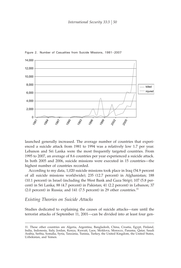

Figure 2. Number of Casualties from Suicide Missions, 1981–2007

launched generally increased. The average number of countries that experienced a suicide attack from 1981 to 1994 was a relatively low 1.7 per year. Lebanon and Sri Lanka were the most frequently targeted countries. From 1995 to 2007, an average of 8.6 countries per year experienced a suicide attack. In both 2005 and 2006, suicide missions were executed in 15 countries—the highest number of countries recorded.

According to my data, 1,020 suicide missions took place in Iraq (54.9 percent of all suicide missions worldwide); 235 (12.7 percent) in Afghanistan; 188 (10.1 percent) in Israel (including the West Bank and Gaza Strip); 107 (5.8 percent) in Sri Lanka; 88 (4.7 percent) in Pakistan; 41 (2.2 percent) in Lebanon; 37  $(2.0 \text{ percent})$  in Russia; and 141 (7.5 percent) in 29 other countries.<sup>11</sup>

# *Existing Theories on Suicide Attacks*

Studies dedicated to explaining the causes of suicide attacks—rare until the terrorist attacks of September 11, 2001—can be divided into at least four gen-

<sup>11.</sup> These other countries are Algeria, Argentina, Bangladesh, China, Croatia, Egypt, Finland, India, Indonesia, Italy, Jordan, Kenya, Kuwait, Laos, Moldova, Morocco, Panama, Qatar, Saudi Arabia, Serbia, Somalia, Syria, Tanzania, Tunisia, Turkey, the United Kingdom, the United States, Uzbekistan, and Yemen.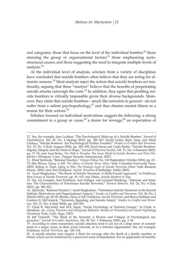eral categories: those that focus on the level of the individual bomber;<sup>12</sup> those stressing the group or organizational factors; $^{13}$  those emphasizing sociostructural causes; and those suggesting the need to integrate multiple levels of analysis.<sup>14</sup>

At the individual level of analysis, scholars from a variety of disciplines have concluded that suicide bombers often believe that they are acting for altruistic reasons.<sup>15</sup> Most analysts reject the notion that suicide bombers act irrationally, arguing that these "martyrs" believe that the benefits of perpetrating suicide attacks outweigh the costs.<sup>16</sup> In addition, they agree that profiling suicide bombers is virtually impossible given their diverse backgrounds. Moreover, they claim that suicide bombers—much like terrorists in general—do not suffer from a salient psychopathology, $17$  and thus dismiss mental illness as a reason for their actions.<sup>18</sup>

Scholars focused on individual motivations suggest the following: a strong commitment to a group or cause,<sup>19</sup> a desire for revenge,<sup>20</sup> an expectation of

<sup>12.</sup> See, for example, Joan Lachkar, "The Psychological Make-up of a Suicide Bomber," *Journal of Psychohistory,* Vol. 29, No. 4 (Spring 2002), pp. 349–367; David Lester, Bijou Yang, and Mark Lindsay, "Suicide Bombers: Are Psychological Profiles Possible?" Studies in Conflict and Terrorism, Vol. 27, No. 4 (July–August 2004), pp. 283–295; Eyad Sarraj and Linda Butler, "Suicide Bombers: Dignity, Despair, and the Need of Hope," *Journal of Palestine Studies,* Vol. 31, No. 4 (Summer 2002), pp. 71–76; and Anat Berko, *The Path to Paradise: The Inner World of Suicide Bombers and Their Dispatchers* (Westport, Conn.: Praeger Security International, 2007).

<sup>13.</sup> Ehud Sprinzak, "Rational Fanatics," *Foreign Policy,* No. 120 (September/October 2000), pp. 67– 73; Mia Bloom, *Dying to Kill: The Allure of Suicide Terror* (New York: Columbia University Press, 2005); Robert A. Pape, *Dying to Win: The Strategic Logic of Suicide Terrorism* (New York: Random House, 2005); and Ami Pedahzur, *Suicide Terrorism* (Cambridge: Polity, 2005).

<sup>14.</sup> Assaf Moghadam, "The Roots of Suicide Terrorism: A Multi-Causal Approach," in Pedahzur, *Root Causes of Suicide Terrorism,* pp. 81–107; and Hafez, *Suicide Bombers in Iraq.*

<sup>15.</sup> See, for example, Ami Pedahzur, Arie Perliger, and Leonard Weinberg, "Altruism and Fatalism: The Characteristics of Palestinian Suicide Terrorists," *Deviant Behavior,* Vol. 24, No. 4 (July 2003), pp. 405–423.

<sup>16.</sup> Sprinzak, "Rational Fanatics"; Assaf Moghadam, "Palestinian Suicide Terrorism in the Second Intifada: Motivations and Organizational Aspects," *Studies in Conflict and Terrorism*, Vol. 26, No. 2 (March 2003), pp. 65–92; Bloom, *Dying to Kill;* Pedahzur, *Suicide Terrorism;* and Bruce Hoffman and Gordon H. McCormick*, "*Terrorism, Signaling, and Suicide Attack," *Studies in Conflict and Terrorism,* Vol. 27, No. 4 (July 2004), pp. 243–281.

<sup>17.</sup> Clark R. McCauley and M.E. Segal, "Social Psychology of Terrorist Groups," in Clyde A. Hendrick, ed., *Group Processes and Intergroup Relations: Review of Personality and Social Psychology* (Newbury Park, Calif.: Sage, 1987).

<sup>18.</sup> Jeff Victoroff, "The Mind of the Terrorist: A Review and Critique of Psychological Approaches," *Journal of Conflict Resolution, Vol. 49, No. 1 (February 2005)*, pp. 3-42.

<sup>19.</sup> According to some researchers, suicide attackers tend to act out of a deep sense of commitment to a larger cause, to their social network, or to a terrorist organization. See, for example, Pedahzur, *Suicide Terrorism,* pp. 126–134.

<sup>20.</sup> A suicide attacker may acquire a thirst for revenge after the death of a family member or friend, which can be reinforced by a perceived sense of humiliation. For an application of humilia-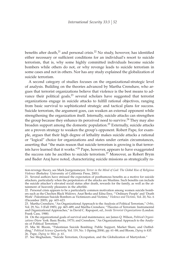benefits after death,<sup>21</sup> and personal crisis.<sup>22</sup> No study, however, has identified either necessary or sufficient conditions for an individual's resort to suicide terrorism, that is, why some highly committed individuals become suicide bombers while others do not, or why revenge leads to suicide terrorism in some cases and not in others. Nor has any study explained the globalization of suicide terrorism.

A second category of studies focuses on the organizational-strategic level of analysis. Building on the theories advanced by Martha Crenshaw, who argues that terrorist organizations believe that violence is the best means to advance their political goals, $23$  several scholars have suggested that terrorist organizations engage in suicide attacks to fulfill rational objectives, ranging from basic survival to sophisticated strategic and tactical plans for success. Suicide terrorism, the argument goes, can weaken an external opponent while strengthening the organization itself. Internally, suicide attacks can strengthen the group because they enhance its perceived need to survive.<sup>24</sup> They may also broaden support among the domestic population.<sup>25</sup> Externally, suicide attacks are a proven strategy to weaken the group's opponent. Robert Pape, for example, argues that their high degree of lethality makes suicide attacks a rational or "logical" choice for organizations and states under certain circumstances, asserting that "the main reason that suicide terrorism is growing is that terrorists have learned that it works."<sup>26</sup> Pape, however, appears to have exaggerated the success rate he ascribes to suicide terrorism.<sup>27</sup> Moreover, as Robert Brym and Bader Araj have noted, characterizing suicide missions as strategically ra-

tion-revenge theory, see Mark Juergensmeyer, *Terror in the Mind of God: The Global Rise of Religious Violence* (Berkeley: University of California Press, 2001).

<sup>21.</sup> Several authors have stressed the expectation of posthumous benefits as a motive for suicide attackers, particularly when the perpetrators of the attacks are Muslims. Such benefits can include the suicide attacker's elevated social status after death, rewards for the family, as well as the attainment of heavenly pleasures in the afterlife.

<sup>22.</sup> Personal crisis appears to be a particularly common motivation among women suicide bombers such as the Chechen Black Widows. Anat Berko and Edna Erez, "'Ordinary People' and 'Death Work': Palestinian Suicide Bombers as Victimizers and Victims," *Violence and Victims,* Vol. 20, No. 6 (December 2005), pp. 603–623.

<sup>23.</sup> Martha Crenshaw, "An Organizational Approach to the Analysis of Political Terrorism," *Orbis,* Vol. 29, No. 3 (Fall 1985), pp. 465–489; and Martha Crenshaw, "Theories of Terrorism: Instrumental and Organizational Approaches," in David C. Rapoport, ed., *Inside Terrorist Organizations* (London: Frank Cass, 1988).

<sup>24.</sup> On the organizational goals of survival and maintenance, see James Q. Wilson, *Political Organizations* (New York: Basic Books, 1973); and Crenshaw, "An Organizational Approach to the Analysis of Political Terrorism."

<sup>25.</sup> Mia M. Bloom, "Palestinian Suicide Bombing: Public Support, Market Share, and Outbidding," *Political Science Quarterly,* Vol. 119, No. 1 (Spring 2004), pp. 61–88; and Bloom, *Dying to Kill.* 26. Pape, *Dying to Win,* p. 61.

<sup>27.</sup> See Moghadam, "Suicide Terrorism, Occupation, and the Globalization of Martyrdom."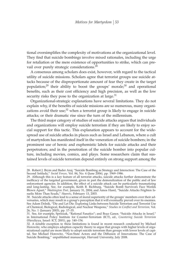tional oversimplifies the complexity of motivations at the organizational level. They find that suicide bombings involve mixed rationales, including the urge for retaliation or the mere existence of opportunities to strike, which can prevail over purely strategic considerations.<sup>28</sup>

A consensus among scholars does exist, however, with regard to the tactical utility of suicide missions. Scholars agree that terrorist groups use suicide attacks because of the disproportionate amount of fear they create in the target population;<sup>29</sup> their ability to boost the groups' morale;<sup>30</sup> and operational benefits, such as their cost efficiency and high precision, as well as the low security risks they pose to the organization at large.<sup>31</sup>

Organizational-strategic explanations have several limitations. They do not explain why, if the benefits of suicide missions are so numerous, many organizations avoid their use; $32$  when a terrorist group is likely to engage in suicide attacks; or their dramatic rise since the turn of the millennium.

The third major category of studies of suicide attacks argues that individuals and organizations will employ suicide terrorism if they are likely to enjoy social support for this tactic. This explanation appears to account for the widespread use of suicide attacks in places such as Israel and Lebanon, where a cult of martyrdom has manifested itself in the veneration of suicide bombers; in the prominent use of heroic and euphemistic labels for suicide attacks and their perpetrators; and in the penetration of the suicide bomber into popular culture, including movies, comics, and plays. Some researchers claim that sustained levels of suicide terrorism depend entirely on strong support among the

<sup>28.</sup> Robert J. Brym and Bader Araj, "Suicide Bombing as Strategy and Interaction: The Case of the Second Intifada," *Social Forces,* Vol. 84, No. 4 (June 2006), pp. 1969–1986.

<sup>29.</sup> Although this is a key feature of all terrorist attacks, suicide attacks further demonstrate the inefficacy of the targeted government, given in part the demoralization of the public and of law enforcement agencies. In addition, the effect of a suicide attack can be particularly traumatizing and long-lasting. See, for example, Keith B. Richburg, "Suicide Bomb Survivors Face Worlds Blown Apart," *Washington Post,* January 31, 2004; and Amos Harel, "Suicide Attacks Frighten Israelis More Than Scuds," *Haaretz,* February 13, 2003.

<sup>30.</sup> Suicide attacks often lead to a sense of moral superiority of the groups' members over their adversaries, which may result in a group's perception that it will eventually prevail over its enemies. See Adam Dolnik, "Die and Let Die: Exploring Links between Suicide Terrorism and Terrorist Use of Chemical, Biological, Radiological, and Nuclear Weapons," Studies in Conflict and Terrorism, Vol. 26, No. 1 (January 2003), pp. 17–35.

<sup>31.</sup> See, for example, Sprinzak, "Rational Fanatics"; and Boaz Ganor, "Suicide Attacks in Israel," in International Policy Institute for Counter-Terrorism (ICT), ed., *Countering Suicide Terrorism* (Herzliyya, Israel: ICT, 2001), pp. 140–154.

<sup>32.</sup> A notable exception to these limitations is found in recent research conducted by Michael Horowitz, who employs adoption capacity theory to argue that groups with higher levels of organizational capital are more likely to adopt suicide terrorism than groups with lower levels of capital. See Michael Horowitz, "Non-State Actors and the Diffusion of Innovations: The Case of Suicide Bombing," unpublished manuscript, Harvard University, July 2008.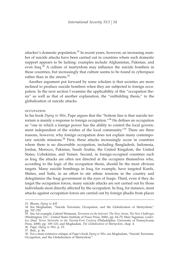attacker's domestic population.<sup>33</sup> In recent years, however, an increasing number of suicide attacks have been carried out in countries where such domestic support appears to be lacking: examples include Afghanistan, Pakistan, and even Iraq. $34$  A culture of martyrdom may influence the suicide bombers in these countries, but increasingly that culture seems to be found in cyberspace rather than in the streets.<sup>35</sup>

Another argument put forward by some scholars is that societies are more inclined to produce suicide bombers when they are subjected to foreign occupation. In the next section I examine the applicability of this "occupation thesis" as well as that of another explanation, the "outbidding thesis," to the globalization of suicide attacks.

#### **OCCUPATION**

In his book *Dying to Win,* Pape argues that the "bottom line is that suicide terrorism is mainly a response to foreign occupation."<sup>36</sup> He defines an occupation as "one in which a foreign power has the ability to control the local government independent of the wishes of the local community."<sup>37</sup> There are three reasons, however, why foreign occupation does not explain many contemporary suicide missions. $38$  First, these attacks increasingly occur in countries where there is no discernible occupation, including Bangladesh, Indonesia, Jordan, Morocco, Pakistan, Saudi Arabia, the United Kingdom, the United States, Uzbekistan, and Yemen. Second, in foreign-occupied countries such as Iraq, the attacks are often not directed at the occupiers themselves who, according to the logic of the occupation thesis, should be the most obvious targets. Many suicide bombings in Iraq, for example, have targeted Kurds, Shiites, and Sufis, in an effort to stir ethnic tensions in the country and delegitimize the Iraqi government in the eyes of Iraqis. Third, even if they do target the occupation forces, many suicide attacks are not carried out by those individuals most directly affected by the occupation. In Iraq, for instance, most attacks against occupation forces are carried out by foreign jihadis from places

<sup>33.</sup> Bloom, *Dying to Kill.*

<sup>34.</sup> See Moghadam, "Suicide Terrorism, Occupation, and the Globalization of Martyrdom," pp. 707–729.

<sup>35.</sup> See, for example, Gabriel Weimann, *Terrorism on the Internet: The New Arena, The New Challenges* (Washington, D.C.: United States Institute of Peace Press, 2006), pp. 64–75; Marc Sageman, *Leaderless Jihad: Terror Networks in the Twenty-First Century* (Philadelphia: University of Pennsylvania Press, 2008), pp. 109–123; and Moghadam, *The Globalization of Martyrdom,* chap. 4. 36. Pape, *Dying to Win,* p. 23.

<sup>37.</sup> Ibid., p. 46.

<sup>38.</sup> For a more extensive critique of Pape's book *Dying to Win,* see Moghadam, "Suicide Terrorism, Occupation, and the Globalization of Martyrdom."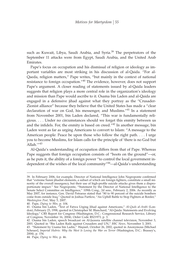such as Kuwait, Libya, Saudi Arabia, and Syria.<sup>39</sup> The perpetrators of the September 11 attacks were from Egypt, Saudi Arabia, and the United Arab Emirates.

Pape's focus on occupation and his dismissal of religion or ideology as important variables are most striking in his discussion of al-Qaida. "For al-Qaeda, religion matters," Pape writes, "but mainly in the context of national resistance to foreign occupation."<sup>40</sup> The evidence, however, does not support Pape's argument. A closer reading of statements issued by al-Qaida leaders suggests that religion plays a more central role in the organization's ideology and mission than Pape would ascribe to it. Osama bin Laden and al-Qaida are engaged in a defensive jihad against what they portray as the "Crusader-Zionist alliance" because they believe that the United States has made a "clear declaration of war on God, his messenger, and Muslims."<sup>41</sup> In a statement from November 2001, bin Laden declared, "This war is fundamentally religious.... Under no circumstances should we forget this enmity between us and the infidels. For, the enmity is based on creed." $42$  In another message, bin Laden went as far as urging Americans to convert to Islam: "A message to the American people: Peace be upon those who follow the right path. . . . I urge you to become Muslims, for Islam calls for the principle of 'there is no God but Allah. $''^{43}$ 

Al-Qaida's understanding of occupation differs from that of Pape. Whereas Pape suggests that foreign occupation consists of "boots on the ground"—or, as he puts it, the ability of a foreign power "to control the local government independent of the wishes of the local community"<sup>44</sup>—al-Qaida's understanding

<sup>39.</sup> In February 2006, for example, Director of National Intelligence John Negroponte confirmed that "extreme Sunni jihadist elements, a subset of which are foreign fighters, constitute a small minority of the overall insurgency, but their use of high-profile suicide attacks gives them a disproportionate impact." See Negroponte, "Statement by the Director of National Intelligence to the Senate Select Committee on Intelligence," 109th Cong., 2d sess., February 2, 2006. As recently as May 2007, for instance, Gen. David Petraeus stated that "80 to 90 percent of the suicide bombers come from outside Iraq." Quoted in Joshua Partlow, "An Uphill Battle to Stop Fighters at Border," *Washington Post,* May 5, 2007.

<sup>40.</sup> Pape, *Dying to Win,* p. 104.

<sup>41.</sup> Osama bin Laden, "Text of Fatwa Urging Jihad against Americans," *Al-Quds al-Arabi* (London), February 23, 1998, quoted in Christopher M. Blanchard, "Al-Qaida: Statements and Evolving Ideology," CRS Report for Congress (Washington, D.C.: Congressional Research Service, Library of Congress, November 16, 2004), Order Code RS21973, p. 3.

<sup>42.</sup> Osama bin Laden, speech broadcast on Al-Jazeera satellite channel television, November 3, 2001. Quoted in "Bin Laden Rails against Crusaders and UN," *BBC News,* November 3, 2001.

<sup>43. &</sup>quot;Statement by Usama bin Ladin," *Waqiaah,* October 26, 2002, quoted in Anonymous [Michael Scheuer], *Imperial Hubris: Why the West Is Losing the War on Terror* (Washington, D.C.: Brassey's, 2004), p. 154.

<sup>44.</sup> Pape, *Dying to Win,* p. 46.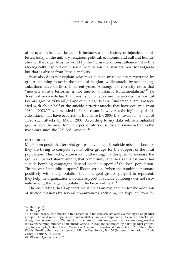of occupation is much broader. It includes a long history of injustices manifested today in the military, religious, political, economic, and cultural humiliation of the larger Muslim world by the "Crusader-Zionist alliance." It is this ideologically inspired definition of occupation that matters most for al-Qaida but that is absent from Pape's analysis.

Pape also does not explain why most suicide missions are perpetrated by groups claiming to act in the name of religion, while attacks by secular organizations have declined in recent years. Although he correctly notes that "modern suicide terrorism is not limited to Islamic fundamentalism,"<sup>45</sup> he does not acknowledge that most such attacks are perpetrated by radical Islamist groups. "Overall," Pape calculates, "Islamic fundamentalism is associated with about half of the suicide terrorist attacks that have occurred from 1980 to 2003."<sup>46</sup> Not included in Pape's count, however, is the high tally of suicide attacks that have occurred in Iraq since the 2003 U.S. invasion—a total of 1,020 such attacks by March 2008. According to my data set, Salafi-jihadist groups were the most dominant perpetrators of suicide missions in Iraq in the five years since the U.S.-led invasion. $47$ 

### **OUTBIDDING**

Mia Bloom posits that terrorist groups may engage in suicide missions because they are trying to compete against other groups for the support of the local population. This tactic, known as "outbidding," is designed to increase the group's "market share" among that community. The thesis thus assumes that suicide bombing campaigns depend on the support of the local population. "In the war for public support," Bloom writes, "when the bombings resonate positively with the population that insurgent groups purport to represent, they help the organization mobilize support. If suicide bombing does not resonate among the larger population, the tactic will fail."<sup>48</sup>

The outbidding thesis appears plausible as an explanation for the adoption of suicide missions by several organizations, including the Popular Front for

<sup>45.</sup> Ibid., p. 16.

<sup>46.</sup> Ibid., p. 17.

<sup>47.</sup> Of the 1,020 suicide attacks in Iraq recorded in the data set, 208 were claimed by Salafi jihadist groups. The next most popular were nationalist-separatist groups, with 11 claimed attacks. Although the perpetrators of 794 attacks in Iraq are still unknown, anecdotal accounts suggest that the overwhelming number of all suicide attacks in Iraq are conducted by Salafi jihadist groups. See, for example, Hafez, *Suicide Bombers in Iraq;* and International Crisis Group, "In Their Own Words: Reading the Iraqi Insurgency," Middle East Report, No. 50 (Brussels: International Crisis Group, February 15, 2006).

<sup>48.</sup> Bloom, *Dying to Kill,* p. 78.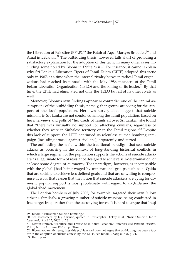the Liberation of Palestine (PFLP), $^{49}$  the Fatah al-Aqsa Martyrs Brigades, $^{50}$  and Amal in Lebanon.<sup>51</sup> The outbidding thesis, however, falls short of providing a satisfactory explanation for the adoption of this tactic in many other cases, including some noted by Bloom in *Dying to Kill.* For instance, it cannot explain why Sri Lanka's Liberation Tigers of Tamil Eelam (LTTE) adopted this tactic only in 1987, at a time when the internal rivalry between radical Tamil organizations had reached its pinnacle with the May 1986 massacre of the Tamil Eelam Liberation Organization (TELO) and the killing of its leader.<sup>52</sup> By that time, the LTTE had eliminated not only the TELO but all of its other rivals as well.

Moreover, Bloom's own findings appear to contradict one of the central assumptions of the outbidding thesis, namely, that groups are vying for the support of the local population. Her own survey data suggest that suicide missions in Sri Lanka are not condoned among the Tamil population. Based on her interviews and polls of "hundreds of Tamils all over Sri Lanka," she found that "there was virtually no support for attacking civilians, regardless of whether they were in Sinhalese territory or in the Tamil regions."<sup>53</sup> Despite this lack of support, the LTTE continued its relentless suicide bombing campaign (including attacks against civilians), apparently undeterred.

The outbidding thesis fits within the traditional paradigm that sees suicide attacks as occurring in the context of long-standing historical conflicts in which a large segment of the population supports the actions of suicide attackers as a legitimate form of resistance designed to achieve self-determination, or at least some degree of autonomy. That paradigm, however, is incompatible with the global jihad being waged by transnational groups such as al-Qaida that are seeking to achieve less defined goals and that are unwilling to compromise. It is for that reason that the notion that suicide attackers are vying for domestic popular support is most problematic with regard to al-Qaida and the global jihad movement.

The London bombers of July 2005, for example, targeted their own fellow citizens. Similarly, a growing number of suicide missions being conducted in Iraq target Iraqis rather than the occupying forces. It is hard to argue that Iraqi

52. Bloom apparently recognizes this problem and does not argue that outbidding has been a factor in the adoption of suicide attacks by the LTTE. See Bloom, *Dying to Kill,* p. 71.

<sup>49.</sup> Bloom, "Palestinian Suicide Bombing."

<sup>50.</sup> See assessment by Ely Karmon, quoted in Christopher Dickey et al., "Inside Suicide, Inc.," *Newsweek,* April 15, 2002, p. 26.

<sup>51.</sup> Martin Kramer, "Sacrifice and Fratricide in Shiite Lebanon," *Terrorism and Political Violence*, Vol. 3, No. 3 (Autumn 1991), pp. 30–47.

<sup>53.</sup> Ibid., p. 67.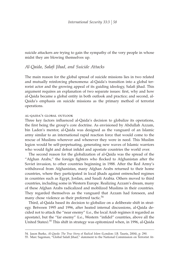suicide attackers are trying to gain the sympathy of the very people in whose midst they are blowing themselves up.

# *Al-Qaida, Salaª Jihad, and Suicide Attacks*

The main reason for the global spread of suicide missions lies in two related and mutually reinforcing phenomena: al-Qaida's transition into a global terrorist actor and the growing appeal of its guiding ideology, Salafi jihad. This argument requires an explanation of two separate issues: first, why and how al-Qaida became a global entity in both outlook and practice; and second, al-Qaida's emphasis on suicide missions as the primary method of terrorist operations.

### al-qaida's global outlook

Three key factors influenced al-Qaida's decision to globalize its operations, the first being the group's core doctrine. As envisioned by Abdullah Azzam, bin Laden's mentor, al-Qaida was designed as the vanguard of an Islamic army similar to an international rapid reaction force that would come to the rescue of Muslims wherever and whenever they were in need. This Muslim legion would be self-perpetuating, generating new waves of Islamic warriors who would fight and defeat infidel and apostate countries the world over.

The second reason for the globalization of al-Qaida was the spread of the "Afghan Arabs," the foreign fighters who flocked to Afghanistan after the Soviet invasion, to other countries beginning in 1988. After the Red Army's withdrawal from Afghanistan, many Afghan Arabs returned to their home countries, where they participated in local jihads against entrenched regimes in countries such as Egypt, Jordan, and Saudi Arabia. Others moved to third countries, including some in Western Europe. Realizing Azzam's dream, many of these Afghan Arabs radicalized and mobilized Muslims in their countries. They regarded themselves as the vanguard that Azzam had foreseen, and many chose violence as their preferred tactic.<sup>54</sup>

Third, al-Qaida based its decision to globalize on a deliberate shift in strategy. Between 1995 and 1996, after heated internal discussions, al-Qaida decided not to attack the "near enemy" (i.e., the local Arab regimes it regarded as apostate), but the "far enemy" (i.e., Western "infidel" countries, above all the United States).<sup>55</sup> This shift in strategy was epitomized when, in 1996, al-Qaida

<sup>54.</sup> Jason Burke, *Al-Qaeda: The True Story of Radical Islam* (London: I.B. Tauris, 2004), p. 290.

<sup>55.</sup> Marc Sageman, "Global Salafi Jihad," statement to the National Commission on Terrorist At-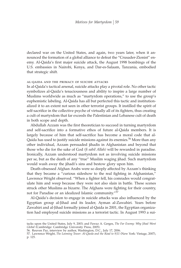declared war on the United States, and again, two years later, when it announced the formation of a global alliance to defeat the "Crusader-Zionist" enemy. Al-Qaida's first major suicide attack, the August 1998 bombings of the U.S. embassies in Nairobi, Kenya, and Dar-es-Salaam, Tanzania, embodied that strategic shift.

### al-qaida and the primacy of suicide attacks

In al-Qaida's tactical arsenal, suicide attacks play a pivotal role. No other tactic symbolizes al-Qaida's tenaciousness and ability to inspire a large number of Muslims worldwide as much as "martyrdom operations," to use the group's euphemistic labeling. Al-Qaida has all but perfected this tactic and institutionalized it to an extent not seen in other terrorist groups. It instilled the spirit of self-sacrifice in the collective psyche of virtually all of its fighters, thus creating a cult of martyrdom that far exceeds the Palestinian and Lebanese cult of death in both scope and depth.

Abdullah Azzam was the first theoretician to succeed in turning martyrdom and self-sacrifice into a formative ethos of future al-Qaida members. It is largely because of him that self-sacrifice has become a moral code that al-Qaida has used to justify suicide missions against its enemies.<sup>56</sup> More than any other individual, Azzam persuaded jihadis in Afghanistan and beyond that those who die for the sake of God (fi sabil Allah) will be rewarded in paradise. Ironically, Azzam understood martyrdom not as involving suicide missions per se, but as the death of any "true" Muslim waging jihad. Such martyrdom would wash away the jihadi's sins and bestow glory upon him.

Death-obsessed Afghan Arabs were so deeply affected by Azzam's thinking that they became a "curious sideshow to the real fighting in Afghanistan," Lawrence Wright observed. "When a fighter fell, his comrades would congratulate him and weep because they were not also slain in battle. These scenes struck other Muslims as bizarre. The Afghans were fighting for their country, not for Paradise or an idealized Islamic community."<sup>57</sup>

Al-Qaida's decision to engage in suicide attacks was also influenced by the Egyptian group al-Jihad and its leader, Ayman al-Zawahiri. Years before Zawahiri and al-Jihad formally joined al-Qaida in 2001, the Egyptian organization had employed suicide missions as a terrorist tactic. In August 1993 a sui-

tacks upon the United States, July 9, 2003; and Fawaz A. Gerges, *The Far Enemy: Why Jihad Went Global* (Cambridge: Cambridge University Press, 2005).

<sup>56.</sup> Reuven Paz, interview by author, Washington, D.C., July 17, 2006.

<sup>57.</sup> Lawrence Wright, *The Looming Tower: Al-Qaeda and the Road to 9/11* (New York: Vintage, 2007), p. 125.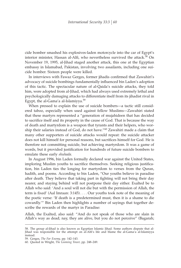cide bomber smashed his explosives-laden motorcycle into the car of Egypt's interior minister, Hassan al-Alfi, who nevertheless survived the attack.<sup>58</sup> On November 19, 1995, al-Jihad staged another attack, this one at the Egyptian embassy in Islamabad, Pakistan, involving two assailants, including one suicide bomber. Sixteen people were killed.

In interviews with Fawaz Gerges, former jihadis confirmed that Zawahiri's advocacy of suicide bombings fundamentally influenced bin Laden's adoption of this tactic. The spectacular nature of al-Qaida's suicide attacks, they told him, were adopted from al-Jihad, which had always used extremely lethal and psychologically damaging attacks to differentiate itself from its jihadist rival in Egypt, the al-Gama'a al-Islamiyya.<sup>59</sup>

When pressed to explain the use of suicide bombers—a tactic still considered taboo, especially when used against fellow Muslims—Zawahiri stated that these martyrs represented a "generation of mujahideen that has decided to sacrifice itself and its property in the cause of God. That is because the way of death and martyrdom is a weapon that tyrants and their helpers, who worship their salaries instead of God, do not have."<sup>60</sup> Zawahiri made a claim that many other supporters of suicide attacks would repeat: the suicide attacker does not kill himself for personal reasons, but sacrifices himself for God. He is therefore not committing suicide, but achieving martyrdom. It was a game of words, but it provided justification for hundreds of future suicide bombers to emulate these early *shuhada.*

In August 1996, bin Laden formally declared war against the United States, imploring Muslim youths to sacrifice themselves. Seeking religious justification, bin Laden ties the longing for martyrdom to verses from the Quran, hadith, and poems. According to bin Laden, "Our youths believe in paradise after death. They believe that taking part in fighting will not bring their day nearer, and staying behind will not postpone their day either. Exalted be to Allah who said: 'And a soul will not die but with the permission of Allah, the term is fixed' (Aal Imraan:  $3:145$ ). . . . Our youths took note of the meaning of the poetic verse: 'If death is a predetermined must, then it is a shame to die cowardly.'" Bin Laden then highlights a number of sayings that together describe the rewards of the martyr in Paradise:

Allah, the Exalted, also said: "And do not speak of those who are slain in Allah's way as dead; nay, they are alive, but you do not perceive" (Bagarah;

<sup>58.</sup> The group al-Jihad is also known as Egyptian Islamic Jihad. Some authors dispute that al-Jihad was responsible for the attempt on al-Alfi's life and blame the al-Gama'a al-Islamiyya instead.

<sup>59.</sup> Gerges, *The Far Enemy,* pp. 142–143.

<sup>60.</sup> Quoted in Wright, *The Looming Tower,* pp. 248–249.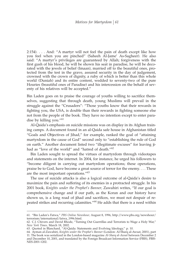2:154).... And: "A martyr will not feel the pain of death except like how you feel when you are pinched" (Saheeh Al-Jame' As-Sagheer). He also said: "A martyr's privileges are guaranteed by Allah; forgiveness with the first gush of his blood, he will be shown his seat in paradise, he will be decorated with the jewels of belief (Imaan), married off to the beautiful ones, protected from the test in the grave, assured security in the day of judgement, crowned with the crown of dignity, a ruby of which is better than this whole world (Duniah) and its entire content, wedded to seventy-two of the pure Houries (beautiful ones of Paradise) and his intercession on the behalf of seventy of his relatives will be accepted."

Bin Laden goes on to praise the courage of youths willing to sacrifice themselves, suggesting that through death, young Muslims will prevail in the struggle against the "Crusaders": "Those youths know that their rewards in fighting you, the USA, is double than their rewards in fighting someone else not from the people of the book. They have no intention except to enter paradise by killing you."<sup>61</sup>

Al-Qaida's emphasis on suicide missions was on display in its Afghan training camps. A document found in an al-Qaida safe house in Afghanistan titled "Goals and Objectives of Jihad," for example, ranked the goal of "attaining martyrdom in the cause of God" second only to "establishing the rule of God on earth." Another document listed two "illegitimate excuses" for leaving jihad as "love of the world" and "hatred of death."<sup>62</sup>

Bin Laden sought to spread the virtues of martyrdom through videotapes and statements on the internet. In 2004, for instance, he urged his followers to "become diligent in carrying out martyrdom operations; these operations, praise be to God, have become a great source of terror for the enemy.... These are the most important operations."<sup>63</sup>

The use of suicide attacks is also a logical outcome of al-Qaida's desire to maximize the pain and suffering of its enemies in a protracted struggle. In his 2001 book, *Knights under the Prophet's Banner,* Zawahiri writes, "If our goal is comprehensive change and if our path, as the Koran and our history have shown us, is a long road of jihad and sacrifices, we must not despair of repeated strikes and recurring calamities."<sup>64</sup> He adds that there is a need within

<sup>61. &</sup>quot;Bin Laden's Fatwa," *PBS Online Newshour,* August 8, 1996, http://www.pbs.org/newshour/ terrorism/international/fatwa\_1996.html.

<sup>62.</sup> C.J. Chivers and David Rhode, "Turning Out Guerrillas and Terrorists to Wage a Holy War," *New York Times,* March 18, 2002.

<sup>63.</sup> Quoted in Blanchard, "Al-Qaida: Statements and Evolving Ideology," p. 10.

<sup>64.</sup> Ayman al-Zawahiri, *Knights under the Prophet's Banner* (London: Al-Sharq al-Awsat, 2001), part 11. The book was serialized in the London-based magazine *Al-Sharq al-Awsat* between December 2 and December 10, 2001, and translated by the Foreign Broadcast Information Service (FBIS), FBIS-NES-2001-1202.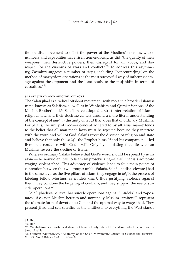the jihadist movement to offset the power of the Muslims' enemies, whose numbers and capabilities have risen tremendously, as did "the quality of their weapons, their destructive powers, their disregard for all taboos, and disrespect for the customs of wars and conflict."<sup>65</sup> To address this asymmetry, Zawahiri suggests a number of steps, including "concentrat[ing] on the method of martyrdom operations as the most successful way of inflicting damage against the opponent and the least costly to the mujahidin in terms of casualties."<sup>66</sup>

### SALAFI JIHAD AND SUICIDE ATTACKS

The Salafi jihad is a radical offshoot movement with roots in a broader Islamist trend known as Salafism, as well as in Wahhabism and Qutbist factions of the Muslim Brotherhood.<sup>67</sup> Salafis have adopted a strict interpretation of Islamic religious law, and their doctrine centers around a more literal understanding of the concept of *tawhid* (the unity of God) than does that of ordinary Muslims. For Salafis, the unity of God—a concept adhered to by all Muslims—extends to the belief that all man-made laws must be rejected because they interfere with the word and will of God. Salafis reject the division of religion and state and believe that only the *salaf*—the Prophet himself and his companions—led lives in accordance with God's will. Only by emulating that lifestyle can Muslims reverse the decline of Islam.

Whereas ordinary Salafis believe that God's word should be spread by *dawa* alone—the nonviolent call to Islam by proselytizing—Salafi jihadists advocate waging violent jihad. This advocacy of violence leads to four main points of contention between the two groups: unlike Salafis, Salafi jihadists elevate jihad to the same level as the five pillars of Islam; they engage in *takfir*, the process of labeling fellow Muslims as infidels *(kufr)*, thus justifying violence against them; they condone the targeting of civilians; and they support the use of suicide operations.<sup>68</sup>

Salafi jihadists believe that suicide operations against "infidels" and "apostates" (i.e., non-Muslim heretics and nominally Muslim "traitors") represent the ultimate form of devotion to God and the optimal way to wage jihad. They present jihad and self-sacrifice as the antithesis to everything the West stands

<sup>65.</sup> Ibid.

<sup>66.</sup> Ibid.

<sup>67.</sup> Wahhabism is a puritanical strand of Islam closely related to Salafism, which is common in Saudi Arabia.

<sup>68.</sup> Quintan Wiktorowicz, "Anatomy of the Salafi Movement," Studies in Conflict and Terrorism, Vol. 29, No. 3 (May 2006), pp. 207–239.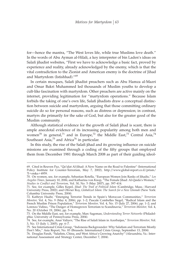for—hence the mantra, "The West loves life, while true Muslims love death." In the words of Abu Ayman al-Hilali, a key interpreter of bin Laden's ideas on Salafi jihadist websites, "First we have to acknowledge a basic fact, proved by experience and reality, already acknowledged by the enemy, which is that the vital contradiction to the Zionist and American enemy is the doctrine of Jihad and Martyrdom (Istishhad)."<sup>69</sup>

In certain mosques, Salafi jihadist preachers such as Abu Hamza al-Mazri and Omar Bakri Muhammed led thousands of Muslim youths to develop a cult-like fascination with martyrdom. Other preachers are active mainly on the internet, providing legitimation for "martyrdom operations." Because Islam forbids the taking of one's own life, Salafi jihadists draw a conceptual distinction between suicide and martyrdom, arguing that those committing ordinary suicide do so for personal reasons, such as distress or depression; in contrast, martyrs die primarily for the sake of God, but also for the greater good of the Muslim community.

Although statistical evidence for the growth of Salafi jihad is scant, there is ample anecdotal evidence of its increasing popularity among both men and women<sup>70</sup> in general,<sup>71</sup> and in Europe,<sup>72</sup> the Middle East,<sup>73</sup> Central Asia,<sup>74</sup> Southeast Asia, $75$  and Africa<sup>76</sup> in particular.

In this study, the rise of the Salafi jihad and its growing influence on suicide missions are examined through a coding of the fifty groups that employed them from December 1981 through March 2008 as part of their guiding ideol-

<sup>69.</sup> Cited in Reuven Paz, "Qa'idat Al-Jihad: A New Name on the Road to Palestine" (International Policy Institute for Counter-Terrorism, May 7, 2002), http://www.global-report.co.il/prism/ ?l-en&a-4959.

<sup>70.</sup> On women, see, for example, Sebastian Rotella, "European Women Join Ranks of Jihadis," *Los Angeles Times,* January 10, 2006; and Katharina von Knop, "The Female Jihad: Al-Qaida's Women," *Studies in Conflict and Terrorism, Vol. 30, No. 5 (May 2007), pp. 397–414.* 

<sup>71.</sup> See, for example, Gilles Kepel, *Jihad: The Trail of Political Islam* (Cambridge, Mass.: Harvard University Press, 2002); and Olivier Roy, *Globalized Islam: The Search for a New Ummah* (New York: Columbia University Press, 2004).

<sup>72.</sup> Kathryn Haahr, "Emerging Terrorist Trends in Spain's Moroccan Communities," *Terrorism Monitor,* Vol. 4, No. 9 (May 4, 2006), pp. 1–2; Pascale Combelles Siegel, "Radical Islam and the French Muslim Prison Population," *Terrorism Monitor,* Vol. 4, No. 15 (July 27, 2006), pp. 1–2; and Lorenzo Vidino, "The Danger of Homegrown Terrorism to Scandinavia," *Terrorism Monitor,* Vol. 4, No. 20 (October 19, 2006), pp. 5–6.

<sup>73.</sup> On the Middle East, see, for example, Marc Sageman, *Understanding Terror Networks* (Philadelphia: University of Pennsylvania Press, 2004).

<sup>74.</sup> See, for example, Anar Valiyev, "The Rise of Salafi Islam in Azerbaijan," *Terrorism Monitor*, Vol. 3, No. 13 (July 1, 2005), pp. 6–7.

<sup>75.</sup> See International Crisis Group, "Indonesia Backgrounder: Why Salafism and Terrorism Mostly Don't Mix," Asia Report, No. 83 (Brussels: International Crisis Group, September 13, 2004).

<sup>76.</sup> Douglas Farah, "Salafists, China, and West Africa's Growing Anarchy" (Alexandria, Va.: International Assessment and Strategy Center, December 7, 2004).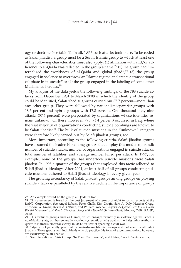ogy or doctrine (see table 1). In all, 1,857 such attacks took place. To be coded as Salafi jihadist, a group must be a Sunni Islamic group to which at least one of the following characteristics must also apply:  $(1)$  affiliation with and/or adherence to al-Qaida was reflected in the group's name; $77$  (2) the group had "internalized the worldview of al-Qaida and global jihad"; $^{78}$  (3) the group engaged in violence to overthrow an Islamic regime and create a transnational caliphate in its stead; $79$  or (4) the group engaged in the labeling of some other Muslims as heretics.<sup>80</sup>

My analysis of the data yields the following findings: of the 788 suicide attacks from December 1981 to March 2008 in which the identity of the group could be identified, Salafi jihadist groups carried out 37.7 percent—more than any other group. They were followed by nationalist-separatist groups with 18.5 percent and hybrid groups with 17.8 percent. One thousand sixty-nine attacks (57.6 percent) were perpetrated by organizations whose identities remain unknown. Of these, however, 795 (74.4 percent) occurred in Iraq, where the vast majority of organizations conducting suicide bombings are known to be Salafi jihadist. $81$  The bulk of suicide missions in the "unknown" category were therefore likely carried out by Salafi jihadist groups, too.

More important, according to the following criteria, Salafi jihadist groups have assumed the leadership among groups that employ this modus operandi: number of suicide attacks, number of organizations engaged in suicide attacks, total number of fatalities, and average number killed per attack. In 1997, for example, none of the groups that undertook suicide missions were Salafi jihadist. In 1998 a quarter of the groups that employed this tactic adhered to Salafi jihadist ideology. After 2004, at least half of all groups conducting suicide missions adhered to Salafi jihadist ideology in every given year.

The growing ascendancy of Salafi jihadist groups among groups employing suicide attacks is paralleled by the relative decline in the importance of groups

<sup>77.</sup> An example would be the group al-Qaida in Iraq.

<sup>78.</sup> This assessment is based on the best judgment of a group of eight terrorism experts at the RAND Corporation. See Angel Rabasa, Peter Chalk, Kim Cragin, Sara A. Daly, Heather Gregg, Theodore W. Krasik, Kevin A. O'Brien, and William Rosenau, *Beyond Al-Qaeda, Part 1: The Global Jihadist Movement,* and *Part 2: The Outer Rings of the Terrorist Universe* (Santa Monica, Calif.: RAND,  $2006$ ).

<sup>79.</sup> This excludes groups such as Hamas, which engages primarily in violence against Israel, a non-Muslim state, but has generally avoided systematic attacks against the Palestinian Authority (prior to Hamas's electoral victory in 2006) for fear of sparking a civil war.

<sup>80.</sup> *Takfir* is not generally practiced by mainstream Islamist groups and not even by all Salafi jihadists. Those groups and individuals who do practice this form of excommunication, however, are exclusively Salafi jihadist.

<sup>81.</sup> See International Crisis Group, "In Their Own Words"; and Hafez, *Suicide Bombers in Iraq.*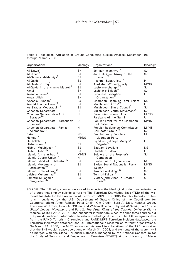Table 1. Ideological Affiliation of Groups Conducting Suicide Attacks, December 1981 through March 2008

| Organizations                                         | Ideology  | Organizations                                                     | Ideology    |
|-------------------------------------------------------|-----------|-------------------------------------------------------------------|-------------|
| Al Dawa <sup>1</sup>                                  | <b>SH</b> | Jemaah Islamiyya <sup>24</sup>                                    | SJ          |
| Al Jihad <sup>2</sup>                                 | SJ        | Jund al-Sham (Army of the                                         | SJ          |
| Al-Gama'a al-Islamiya <sup>3</sup>                    | SJ        | Levant) $25$                                                      |             |
| Al-Qaida                                              | SJ        | Kashmir Separatists <sup>26</sup>                                 | H           |
| Al-Qaida in Iraq <sup>4</sup>                         | SJ        | Kurdistan Workers Party                                           | M/NS        |
| Al-Qaida in the Islamic Magreb <sup>5</sup>           | SJ        | Lashkar-e-Jhangvi                                                 | SJ          |
| Amal                                                  | <b>SH</b> | Lashkar-e-Taibeh <sup>28</sup>                                    | SJ          |
| Ansar al-Islam <sup>6</sup>                           | SJ        | Lebanese Liberation                                               | U           |
| Ansar Allah                                           | <b>SH</b> | Organization <sup>29</sup>                                        |             |
| Ansar al-Sunnah <sup>7</sup>                          | SJ        |                                                                   | <b>NS</b>   |
| Armed Islamic Group <sup>8</sup>                      | SJ        | Liberation Tigers of Tamil Eelam<br>Mujahideen Army <sup>30</sup> | H.          |
| As-Sirat al-Moustaquim <sup>9</sup>                   | SJ        | Mujahideen Shura Council <sup>31</sup>                            | SJ          |
| <b>Chechen Separatists</b>                            | н         | Mujahideen Youth Movement <sup>32</sup>                           | SJ          |
| Chechen Separatists-Arbi                              | н         | Palestinian Islamic Jihad                                         | MI/NS       |
| Barayev                                               |           | Partisans of the Sunni                                            | U           |
| Chechen Separatists-Karachaev<br>Jamaat <sup>11</sup> | U         | Popular Front for the Liberation<br>of Palestine                  | M/NS        |
| Chechen Separatists-Ramzan<br>Akhmadov                | н         | Popular Resistance Committees<br>Qari Zafar Group <sup>33</sup>   | MI/NS<br>SJ |
| Fatah                                                 | <b>NS</b> | Revolutionary People's                                            | M           |
| ${\sf Hamas}^{13}$                                    | MI/NS     | <b>Liberation Party</b>                                           |             |
| Hezballah                                             | <b>SH</b> | Riyad us-Saliheyn Martyrs'                                        | н           |
| Hizb-i-Islami <sup>14</sup>                           | SJ        | Brigade <sup>34</sup>                                             |             |
| Hizb-ul Mujahideen <sup>15</sup>                      | SJ        | Saddam Loyalists                                                  | <b>NS</b>   |
| Hizb-ut-Tahrir <sup>16</sup>                          | SJ        | Shields of Islam                                                  | U           |
| 17<br>Islamic Army in Iraq                            | MI/NS     | Soldiers of the Prophet's                                         | SJ          |
| 18<br><b>Islamic Courts Union</b>                     | H.        | Companion                                                         |             |
| Islamic Jihad of Uzbekistan <sup>19</sup>             | SJ        | Syrian Baath Organization                                         | <b>NS</b>   |
| Islamic Movement of<br>Uzbekistan <sup>20</sup>       | SJ        | Syrian Social Nationalist Party<br>Taliban                        | M/NS<br>H.  |
| Islamic State of Irag <sup>21</sup>                   | SJ        | Tawhid wal Jihad <sup>35</sup>                                    | SJ          |
| Jaish-e-Muhammad                                      | SJ        | Tehrik-i-Taliban <sup>36</sup>                                    | H           |
| Jamatul Mujahedin                                     | SJ        |                                                                   | U           |
| Bangladesh <sup>23</sup>                              |           | Victory and Jihad in Greater<br>Syria <sup>37</sup>               |             |

SOURCES: The following sources were used to ascertain the ideological or doctrinal orientation of groups that employ suicide terrorism: The Terrorism Knowledge Base (TKB) of the Memorial Institute for the Prevention of Terrorism (MIPT); the 2005 Country Reports on Terrorism, published by the U.S. Department of State's Office of the Coordinator for Counterterrorism; Angel Rabasa, Peter Chalk, Kim Cragin, Sara A. Daly, Heather Gregg, Theodore W. Krasik, Kevin A. O'Brien, and William Rosenau, *Beyond Al-Qaeda,* Part 1: *The Global Jihadist Movement,* and Part 2: *The Outer Rings of the Terrorist Universe* (Santa Monica, Calif.: RAND, 2006); and anecdotal information, when the first three sources did not provide sufficient information to establish ideological identity. The TKB integrates data from the RAND Terrorism Chronology and RAND-MIPT Terrorism Incident databases; the Terrorism Indictment database; and DFI International's research on terrorist organizations. On March 21, 2008, the MIPT announced via email to subscribers of the TKB newsletter that the TKB would "cease operations on March 31, 2008, and elements of the system will be merged with the Global Terrorism Database, managed by the National Consortium for the Study of Terrorism and Responses to Terrorism (START) at the University of Mary-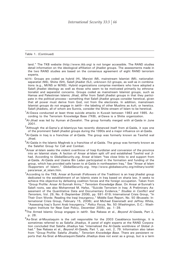land." The TKB website (http://www.tkb.org) is not longer accessible. The RAND studies detail information on the ideological affiliation of jihadist groups. The assessments made in the two RAND studies are based on the consensus agreement of eight RAND terrorism experts.

- NOTE: Groups are coded as hybrid (H), Marxist (M), mainstream Islamist (MI), nationalistseparatist (NS), Shiite (SH), Salafi jihadist (SJ), unknown (U) groups, as well as in combinations (e.g., MI/NS or M/NS). Hybrid organizations comprise members who have adopted a Salafi jihadist ideology as well as those who seem to be motivated primarily by ethnonationalist and separatist concerns. Groups coded as mainstream Islamist groups, such as Hamas and Palestinian Islamic Jihad, differ from Salafi jihadist groups in that they participate in the political process—something that Salafi jihadist groups consider heretical, given that all power must derive from God, not from the electorate. In addition, mainstream Islamist groups do not engage in *takfir*—the labeling of other Muslims as *kufr,* or heretics. Salafi jihadists, all of whom are Sunnis, consider the Shiite stream of Islam to be heretical.
- <sup>1</sup>Al-Dawa conducted at least three suicide attacks in Kuwait between 1983 and 1985. According to the Terrorism Knowledge Base (TKB), al-Dawa is a Shiite organization.
- $2$ Al-Jihad was led by Ayman al-Zawahiri. The group formally merged with al-Qaida in June 2001.
- $3$ Although the al-Gama'a al-Islamiyya has recently distanced itself from al-Qaida, it was one of the prominent Salafi jihadist groups during the 1990s and a major influence on al-Qaida.
- 4 Al-Qaida in Iraq is a franchise of al-Qaida. The group was formerly known as Tawhid wal Jihad.
- <sup>5</sup>Al-Qaida in the Islamic Maghreb is a franchise of al-Qaida. The group was formerly known as the Salafist Group for Call and Combat.
- <sup>6</sup> Ansar al-Islam seeks the violent overthrow of Iraqi Kurdistan and conversion of the province into an Islamist state. A faction of Ansar al-Islam split off and established Tawhid wal Jihad. According to *GlobalSecurity.org,* Ansar al-Islam "has close links to and support from al-Qaida. Al-Qaida and Usama Bin Laden participated in the formation and funding of the group, which has provided safe haven to al-Qaida in northeastern Iraq." See "Ansar al Islam (Supporters of Islam)," *GlobalSecurity.org,* http://www.globalsecurity.org/military/world/ para/ansar\_al\_islam.htm.
- <sup>7</sup> According to the TKB, Ansar al-Sunnah (Followers of the Tradition) is an Iraqi jihadist group dedicated to the establishment of an Islamic state in Iraq based on sharia law. It seeks to achieve this objective by defeating coalition forces and the foreign occupation. Taken from "Group Profile: Ansar Al-Sunnah Army," *Terrorism Knowledge Base.* On Ansar al-Sunnah's Salafi roots, see also Mohammed M. Hafez, "Suicide Terrorism in Iraq: A Preliminary Assessment of the Quantitative Data and Documentary Evidence," *Studies in Conflict and Terrorism,* Vol. 29, No. 6 (September 2006), pp. 591–619; International Crisis Group, "In Their Own Words: Reading the Iraqi Insurgency," Middle East Report, No. 50 (Brussels: International Crisis Group, February 15, 2006); and Michael Eisenstadt and Jeffrey White, "Assessing Iraq's Sunni Arab Insurgency," *Policy Focus,* No. 50 (Washington, D.C.: Washington Institute for Near East Policy, December 2005), pp. 1–39.

8 The Armed Islamic Group engages in *takfir.* See Rabasa et al., *Beyond Al-Qaeda,* Part 2, p. 28.

<sup>9</sup>As-Sirat al-Moustaquim is the cell responsible for the 2003 Casablanca bombings. It is sometimes referred to as Salafia Jihadiya. A panel of eight experts at the RAND Corporation concluded that Salafia Jihadiya has "internalized the Al-Qaida worldview of Global Jihad." See Rabasa et al., *Beyond Al-Qaeda,* Part 1, pp. xxii, 2, 79. Information also taken from "Group Profile: Salafia Jihadia," *Terrorism Knowledge Base.* There are persistent reports that As-Sirat al-Moustaquim/Salafia Jihadiya does not exist as a group, but is a term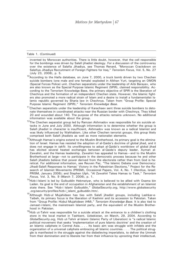invented by Moroccan authorities. There is little doubt, however, that the cell responsible for the bombings was driven by Salafi jihadist ideology. For a discussion of the controversy over the existence of Salafia Jihadiya, see Thomas Renard, "Moroccan Crackdown on Salafiya Jihadiya Recruitment of Foreign Fighters for Iraq," *Terrorism Focus,* Vol. 5, No. 27 (July 23, 2008), p. 5.

- 10<br><sup>10</sup>According to the Haifa database, on June 7, 2000, a truck bomb driven by two Chechen suicide bombers (one male and one female) exploded in Alkhan Yurt, targeting an OMON (Special Forces Police) unit. Chechen separatists under the leadership of Arbi Barayev, who are also known as the Special Purpose Islamic Regiment (SPIR), claimed responsibility. According to the Terrorism Knowledge Base, the primary objective of SPIR is the liberation of Chechnya and the formation of an independent Chechen state. However, the Islamic fighters also promoted a more radical strain of Islam and a desire to install a fundamentalist Islamic republic governed by Sharia law in Chechnya. Taken from "Group Profile: Special Purpose Islamic Regiment (SPIR)," *Terrorism Knowledge Base.*
- $11$ Chechen separatists under the leadership of Karachaev sent three suicide bombers to detonate themselves in coordinated attacks near the Russian border with Chechnya. They killed 20 and wounded about 140. The purpose of the attacks remains unknown. No additional information was available about the group.
- $12$ The Chechen separatist group led by Ramzan Akhmadov was responsible for six suicide attacks in June and July 2000. Although information is to determine whether the group is Salafi jihadist in character is insufficient, Akhmadov was known as a radical Islamist and was likely influenced by Wahhabism. Like other Chechen terrorist groups, this group likely comprised both Salafi jihadists as well as more nationalist elements.
- $13A$ lthough Hamas's origins extend to the Muslim Brotherhood, its primary goal is the elimination of Israel. Hamas has resisted the adoption of al-Qaida's doctrine of global jihad, and it does not engage in *takfir.* Its unwillingness to adopt al-Qaida's worldview of global jihad has elicited several heated exchanges between al-Qaida's deputy leader, Ayman al-Zawahiri, and the Hamas leadership. Zawahiri has appealed to Hamas—and to the Muslim Brotherhood at large—not to participate in the democratic process because he and other Salafi jihadists believe that power derived from the electorate rather than from God is heretical. For additional information, see Reuven Paz, "The Islamic Debate over Democracy: Jihadi-Salafi Responses to Hamas' Victory in the Palestinian Elections," Project for the Research of Islamist Movements (PRISM), Occasional Papers, Vol. 4, No. 1 (Herzliya, Israel: PRISM, January 2006); and Stephen Ulph, "Al Zawahiri Takes Hamas to Task," *Terrorism Focus,* Vol. 3, No. 9 (March 7, 2006), p. 1.
- $14$ Hizb-i-Islami is led by Gulbuddin Hekmatyar, who is believed to be allied with Osama bin Laden. Its goal is the end of occupation in Afghanistan and the establishment of an Islamist state there. See "Hizb-i Islami Gulbuddin," *GlobalSecurity.org,* http://www.globalsecurity .org/security/profiles/hizb-i\_islami\_gulbuddin.htm/.
- <sup>15</sup>Although Hizb-ul Mujahideen has ties with Salafi jihadist groups, including Lashkar-e-Taibeh, its primary focus is the liberation of Kashmir and its accession to Pakistan. Taken from "Group Profile: Hizbul Mujahideen (HM)," *Terrorism Knowledge Base.* It is also tied to Jamaat-i-Islami, the mainstream Islamist party, and the equivalent of the Muslim Brotherhood in Pakistan.
- $16$ Hizb ut-Tahrir was responsible for a suicide attack at the entrance to a children's clothing store in the local market in Tashkent, Uzbekistan, on March, 29, 2004. According to *GlobalSecurity.org,* Hizb ut-Tahrir al-Islami (Islamic Party of Liberation) is "a radical Islamic political movement that seeks 'implementation of pure Islamic doctrine' and the creation of an Islamic caliphate in Central Asia. . . . Its basic aim was struggle with infidels and the organization of a universal caliphate embracing all Islamic countries. . . . The political struggle is manifested in the struggle against the disbelieving imperialists, to deliver the Ummah from their domination and to liberate her from their influence by uprooting their intellectual,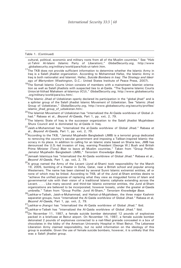cultural, political, economic and military roots from all of the Muslim countries." See "Hizb ut-Tahrir Al-Islami (Islamic Party of Liberation)," *GlobalSecurity.org,* http://www .globalsecurity.org/military/world/para/hizb-ut-tahrir.htm.

 $17$ The TKB does not provide sufficient information to determine whether the Islamic Army in Iraq is a Salafi jihadist organization. According to Mohammed Hafez, the Islamic Army in Iraq is both nationalist and Islamist. Hafez, *Suicide Bombers in Iraq: The Strategy and Ideology of Martyrdom* (Washington, D.C.: United States Institute of Peace Press, 2007).

<sup>18</sup>The Somali Islamic Courts Union consists of members with a mainstream Islamist orientation as well as Salafi jihadists with suspected ties to al-Qaida. "The Supreme Islamic Courts Union/al-Ittihad Mahakem al-Islamiya (ICU)," *GlobalSecurity.org,* http://www.globalsecurity .org/military/world/para/icu.htm/.

 $19$ The Islamic Jihad of Uzbekistan openly declared its participation in the "global jihad" and is a splinter group of the Salafi jihadist Islamic Movement of Uzbekistan. See "Islamic Jihad Group of Uzbekistan," *GlobalSecurity.org,* http://www.globalsecurity.org/security/profiles/ islamic\_jihad\_group\_of\_uzbekistan.htm/.

 $20$ The Islamist Movement of Uzbekistan has "internalized the Al-Qaida worldview of Global Jihad." Rabasa et al., *Beyond Al-Qaeda,* Part 1, pp. xxii, 2, 79.

<sup>21</sup>The Islamic State of Iraq is the successor organization to the Salafi jihadist Mujahideen Shura Council and is dominated by al-Qaida in Iraq.

 $22$ Jaish-e-Muhammad has "internalized the al-Qaida worldview of Global Jihad." Rabasa et al., *Beyond Al-Qaeda,* Part 1, pp. xxii, 2, 79.

<sup>23</sup>According to the TKB, "Jamatul Mujahedin Bangladesh (JMB) is a terrorist group dedicated to removing the country's secular government and imposing a Taliban-inspired Islamic theocracy in its place. In addition to calling for an Islamic state based on Sharia law, JMB has denounced the U.S.-led invasion of Iraq, warning President [George W.] Bush and British Prime Minister [Tony] Blair to leave all Muslim countries." Taken from "Group Profile: Jamatul Mujahedin Bangladesh (JMB)," *Terrorism Knowledge Base.*

 $^{24}$ Jemaah Islamiyya has "internalized the Al-Qaida worldview of Global Jihad." Rabasa et al., *Beyond Al-Qaeda,* Part 1, pp. xxii, 2, 79.

 $^{25}$ A group named the Army of the Levant (Jund al-Sham) took responsibility for the March 19, 2005, bombing of a theater in Doha, Qatar, near a British school and popular among Westerners. The name has been claimed by several Sunni Islamic extremist entities, all or none of which may be linked. According to TKB, all of the Jund al-Sham entities desire to "achieve the unified purpose of replacing what they view as misguided forms of Islam and governmental rule with their vision of a traditional Islamic caliphate extending across the Levant.... Like many second- and third-tier Islamic extremist entities, the Jund al-Sham organizations are believed to be incorporated, however loosely, under the greater al-Qaeda umbrella." Taken from "Group Profile: Jund Al-Sham," *Terrorism Knowledge Base.*

<sup>26</sup>Lashkar-e-Taibeh, Jaish-e-Muhammad, and Harkat-ul-Mujahideen, the three major Kashmir separatist groups, have "internalized the Al-Qaida worldview of Global Jihad." Rabasa et al, *Beyond Al-Qaeda,* Part 1, pp. xxii, 2, 79.

<sup>27</sup>Lashkar-e-Jhangvi has "internalized the Al-Qaida worldview of Global Jihad." Ibid.

<sup>28</sup>Lashkar-e-Taibeh has "internalized the Al-Qaida worldview of Global Jihad." Ibid.

 $^{29}$ On November 11, 1987, a female suicide bomber detonated 12 pounds of explosives packed in a briefcase at Beirut airport. On November 14, 1987, a female suicide bomber detonated 2 pounds of explosives connected to a nail-filled grenade concealed in a box of chocolates in the lobby of the American University Hospital in West Beirut. The Lebanese Liberation Army claimed responsibility, but no solid information on the ideology of this group is available. Given the use of female suicide bombers, however, it is unlikely that this was a Salafi jihadist group.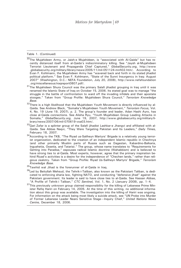- <sup>30</sup>The Mujahideen Army, or Jaish-e Mujahideen, is "associated with Al-Qaida" but has recently distanced itself from al-Qaida's indiscriminatory killing. See "Jaysh al-Mujahideen Terrorist Lieutenant and Propaganda Chief Captured," *GlobalSecurity.org,* http://www .globalsecurity.org/military/library/news/2005/11/mil-051124-mnfi02.htm/. According to Evan F. Kohlmann, the Mujahideen Army has "wavered back and forth in its stated jihadist political platform." See Evan F. Kohlmann, "State of the Sunni Insurgency in Iraq: August 2007" (Washington, D.C.: NEFA Foundation, July 20, 2008), http://www.nefafoundation .org/miscellaneous/iraqreport0807.pdf/.
- <sup>31</sup>The Mujahideen Shura Council was the primary Salafi jihadist grouping in Iraq until it was renamed the Islamic State of Iraq on October 15, 2006. Its stated goal was to manage "the struggle in the battle of confrontation to ward off the invading infidels and their apostate stooges." Taken from "Group Profile: Mujahideen Shura Council," *Terrorism Knowledge Base.*
- $32$ There is a high likelihood that the Mujahideen Youth Movement is directly influenced by al-Qaida. See Andrew Black, "Somalia's Mujahideen Youth Movement," *Terrorism Focus,* Vol. 4, No. 19 (June 19, 2007), p. 2. The group's founder and leader, Adan Hashi Ayro, has close al-Qaida connections. See Alisha Ryu, "Youth Mujahideen Group Leading Attacks in Somalia," *GlobalSecurity.org,* June 19, 2007, http://www.globalsecurity.org/military/library/news/2007/06/mil-070619-voa03.htm/.
- 33 Qari Zafar is a splinter group of the Salafi jihadist Lashkar-e Jhangvi and affiliated with al-Qaida. See Abbas Naqvi, "They Were Targeting Pakistan and Its Leaders," *Daily Times,* February 18, 2007.
- <sup>34</sup> According to the TKB, "The Riyad us-Saliheyn Martyrs' Brigade is a relatively young terrorist organization, dedicated to the creation of an independent Islamic republic in Chechnya (and other primarily Muslim parts of Russia such as Dagestan, Kabardino-Balkaria, Ingushetia, Ossetia, and Tataria)." The group, whose name translates to "Requirements for Getting into Paradise," espouses radical Islamic doctrine (Wahabbism) and is believed to have strong ties to al-Qaida. Most experts, however, agree that the primary inspiration behind Riyad's activities is a desire for the independence of "Chechen lands," rather than religious zealotry. Taken from "Group Profile: Riyad Us-Saliheyn Martyrs' Brigade," *Terrorism Knowledge Base.*

 $35$ Tawhid wal Jihad is the forerunner of al-Qaida in Iraq.

- $36$ Led by Beitullah Mehsud, the Tehrik-i-Taliban, also known as the Pakistani Taliban, is dedicated to enforcing sharia law, fighting NATO, and conducting "defensive jihad" against the Pakistani government. Its leader is said to have close ties to al-Qaida. See Hassan Abbas, "A Profile of Tehrik-i Taliban," *CTC Sentinel,* Vol. 1, No. 2 (January 2008), pp. 1–4.
- $37$ This previously unknown group claimed responsibility for the killing of Lebanese Prime Minister Rafiq Hariri on February 14, 2005. At the time of this writing, no additional information about this group was available. The investigation into the killing of Hariri was ongoing. For information on the attack being most likely a suicide attack, see "UN Probe into Murder of Former Lebanese Leader Nears Sensitive Stage—Inquiry Chief," *United Nations News Centre,* December 18, 2006.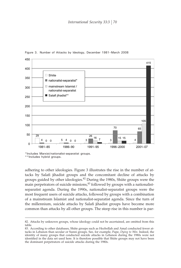

Figure 3. Number of Attacks by Ideology, December 1981–March 2008

\*Includes Marxist/nationalist-separatist groups.

\*\*Includes hybrid groups.

adhering to other ideologies. Figure 3 illustrates the rise in the number of attacks by Salafi jihadist groups and the concomitant decline of attacks by groups guided by other ideologies.<sup>82</sup> During the 1980s, Shiite groups were the main perpetrators of suicide missions, $83$  followed by groups with a nationalistseparatist agenda. During the 1990s, nationalist-separatist groups were the most frequent users of suicide attacks, followed by groups with a combination of a mainstream Islamist and nationalist-separatist agenda. Since the turn of the millennium, suicide attacks by Salafi jihadist groups have become more common than attacks by all other groups. The steep rise in this number is par-

<sup>82.</sup> Attacks by unknown groups, whose ideology could not be ascertained, are omitted from this table.

<sup>83.</sup> According to other databases, Shiite groups such as Hezbollah and Amal conducted fewer attacks in Lebanon than secular or Sunni groups. See, for example, Pape, *Dying to Win.* Indeed, the identity of many groups that conducted suicide attacks in Lebanon during the 1980s were not identified in the data set used here. It is therefore possible that Shiite groups may not have been the dominant perpetrators of suicide attacks during the 1980s.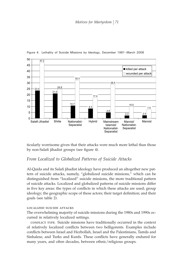

Figure 4. Lethality of Suicide Missions by Ideology, December 1981–March 2008

ticularly worrisome given that their attacks were much more lethal than those by non-Salafi jihadist groups (see figure 4).

# *From Localized to Globalized Patterns of Suicide Attacks*

Al-Qaida and its Salafi jihadist ideology have produced an altogether new pattern of suicide attacks, namely, "globalized suicide missions," which can be distinguished from "localized" suicide missions, the more traditional pattern of suicide attacks. Localized and globalized patterns of suicide missions differ in five key areas: the types of conflicts in which these attacks are used; group ideology; the geographic scope of these actors; their target definition; and their goals (see table 2).

# localized suicide attacks

The overwhelming majority of suicide missions during the 1980s and 1990s occurred in relatively localized settings.

conFLICT TYPE. Suicide missions have traditionally occurred in the context of relatively localized conflicts between two belligerents. Examples include conflicts between Israel and Hezbollah, Israel and the Palestinians, Tamils and Sinhalese, and Turks and Kurds. These conflicts have generally endured for many years, and often decades, between ethnic/religious groups.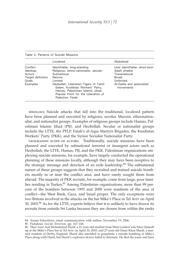|                                                                          | Localized                                                                                                                                                                                                                                                                             | Globalized                                                                                                                      |
|--------------------------------------------------------------------------|---------------------------------------------------------------------------------------------------------------------------------------------------------------------------------------------------------------------------------------------------------------------------------------|---------------------------------------------------------------------------------------------------------------------------------|
| Conflict<br>Ideology<br>Actors<br>Target definition<br>Goals<br>Examples | Identifiable; long-standing<br>Religious; ethno-nationalist; secular<br>Subnational<br>Narrow<br>Limited<br>Hezbollah, Liberation Tigers of Tamil<br>Eelam, Kurdistan Workers' Party,<br>Hamas, Palestinian Islamic Jihad,<br>Popular Front for the Liberation of<br>Palestine, Fatah | Less identifiable; short-term<br>Salafi jihadist<br>Transnational<br>Broad<br>Unlimited<br>Al-Qaida and associated<br>movements |

Table 2. Patterns of Suicide Missions

IDEOLOGY. Suicide attacks that fall into the traditional, localized pattern have been planned and executed by religious, secular, Marxist, ethnonationalist, and nationalist groups. Examples of religious groups include Hamas, Palestinian Islamic Jihad (PIJ), and Hezbollah. Secular or nationalist groups include the LTTE, the PFLP, Fatah's al-Aqsa Martyrs Brigades, the Kurdistan Workers' Party (PKK), and the Syrian Socialist Nationalist Party.

geographic scope of actors. Traditionally, suicide missions have been planned and executed by subnational terrorist or insurgent actors such as Hezbollah, the LTTE, Hamas, PIJ, and the PKK. Palestinian organizations employing suicide missions, for example, have largely conducted the operational planning of these missions locally, although they may have been receptive to the strategic message and direction of an exile leadership. $84$  The subnational nature of these groups suggests that they recruited and trained suicide bombers mostly in or near the conflict area, and have rarely sought them from abroad. The majority of PKK recruits, for example, come from large, poor families residing in Turkey.<sup>85</sup> Among Palestinian organizations, more than 99 percent of the bombers between 1993 and 2008 were residents of the area of conflict—the West Bank, Gaza, and Israel proper. The only exceptions were two Britons involved in the attacks on the bar Mike's Place in Tel Aviv on April 30, 2003.<sup>86</sup> As for the LTTE, experts believe that it is unlikely to have drawn its recruits from outside Sri Lanka because they are chosen from within the ranks

<sup>84.</sup> Yoram Schweitzer, email communication with author, November 19, 2006.

<sup>85.</sup> Pedahzur, *Suicide Terrorism,* pp. 167–168.

<sup>86.</sup> They were Asif Mohammed Hanif, a 21-year-old student from West London who blew himself up at the Mike's Place bar in Tel Aviv on April 30, 2003; and 27-year-old Omar Khan Sharif, a married resident of Derby, England. Sharif also intended to perpetrate a suicide bombing at Mike's Place along with Hanif, but Sharif's explosive device failed to detonate. He fled the scene and later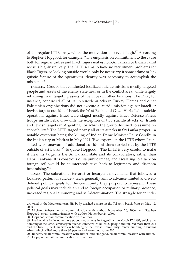of the regular LTTE army, where the motivation to serve is high. $87$  According to Stephen Hopgood, for example, "The emphasis on commitment to the cause both for regular cadres and Black Tigers makes non-Sri Lankan or Indian Tamil recruits highly unlikely. The LTTE seems to have no recruitment problems for Black Tigers, so looking outside would only be necessary if some ethnic or linguistic feature of the operative's identity was necessary to accomplish the mission."<sup>88</sup>

targets. Groups that conducted localized suicide missions mostly targeted people and assets of the enemy state near or in the conflict area, while largely refraining from targeting assets of their foes in other locations. The PKK, for instance, conducted all of its 16 suicide attacks in Turkey. Hamas and other Palestinian organizations did not execute a suicide mission against Israeli or Jewish targets outside of Israel, the West Bank, and Gaza. Hezbollah's suicide operations against Israel were staged mostly against Israel Defense Forces troops inside Lebanon—with the exception of two suicide attacks on Israeli and Jewish targets in Argentina, for which the group declined to assume responsibility.<sup>89</sup> The LTTE staged nearly all of its attacks in Sri Lanka proper—a notable exception being the killing of Indian Prime Minister Rajiv Gandhi in the Indian city of Madras in May 1991. Two experts on the LTTE whom I consulted were unaware of additional suicide missions carried out by the LTTE outside of Sri Lanka.<sup>90</sup> To quote Hopgood, "The LTTE is very careful to make it clear its target is the Sri Lankan state and its collaborators, rather than all Sri Lankans. It is conscious of its public image, and escalating to attack on foreign soil would be counterproductive both to legitimacy and diaspora fundraising."<sup>91</sup>

goals. The subnational terrorist or insurgent movements that followed a localized pattern of suicide attacks generally aim to advance limited and welldefined political goals for the community they purport to represent. These political goals may include an end to foreign occupation or military presence, increased regional autonomy, and self-determination. The struggle for an inde-

88. Hopgood, email communication with author.

drowned in the Mediterranean. His body washed ashore on the Tel Aviv beach front on May 12, 2003.

<sup>87.</sup> Michael Roberts, email communication with author, November 20, 2006; and Stephen Hopgood, email communication with author, November 24, 2006.

<sup>89.</sup> Hezbollah is believed to have staged two attacks in Argentina: the March 17, 1992, suicide car bombing of the Israeli embassy in Buenos Aires, which killed 29 people and injured more than 250; and the July 18, 1994, suicide car bombing of the Jewish Community Center building in Buenos Aires, which killed more than 80 people and wounded some 300.

<sup>90.</sup> Roberts, email communication with author; and Hopgood, email communication with author. 91. Hopgood, email communication with author.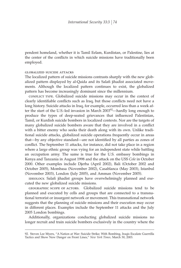pendent homeland, whether it is Tamil Eelam, Kurdistan, or Palestine, lies at the center of the conflicts in which suicide missions have traditionally been employed.

# globalized suicide attacks

The localized pattern of suicide missions contrasts sharply with the new globalized pattern displayed by al-Qaida and its Salafi jihadist associated movements. Although the localized pattern continues to exist, the globalized pattern has become increasingly dominant since the millennium.

conFLICT TYPE. Globalized suicide missions may occur in the context of clearly identifiable conflicts such as Iraq, but those conflicts need not have a long history. Suicide attacks in Iraq, for example, occurred less than a week after the start of the U.S.-led invasion in March 2003<sup>92</sup>—hardly long enough to produce the types of deep-seated grievances that influenced Palestinian, Tamil, or Kurdish suicide bombers in localized contexts. Nor are the targets of many globalized suicide bombers aware that they are involved in a conflict with a bitter enemy who seeks their death along with its own. Unlike traditional suicide attacks, globalized suicide operations frequently occur in areas that—by any objective standard—are not identified by all parties as zones of conflict. The September 11 attacks, for instance, did not take place in a region where a large ethnic group was vying for an independent state while battling an occupation army. The same is true for the U.S. embassy bombings in Kenya and Tanzania in August 1998 and the attack on the USS *Cole* in October 2000. Other examples include Djerba (April 2002), Bali (October 2002 and October 2005), Mombasa (November 2002), Casablanca (May 2003), Istanbul (November 2003), London (July 2005), and Amman (November 2005).

IDEOLOGY. Salafi jihadist groups have overwhelmingly planned and executed the new globalized suicide missions.

geographic scope of actors. Globalized suicide missions tend to be planned and executed by cells and groups that are connected to a transnational terrorist or insurgent network or movement. This transnational network suggests that the planning of suicide missions and their execution may occur in different places. Examples include the September 11 attacks and the July 2005 London bombings.

Additionally, organizations conducting globalized suicide missions no longer recruit and train suicide bombers exclusively in the country where the

<sup>92.</sup> Steven Lee Myers, "A Nation at War: Suicide Strike; With Bombing, Iraqis Escalate Guerrilla Tactics and Show New Danger on Front Lines," *New York Times,* March 30, 2003.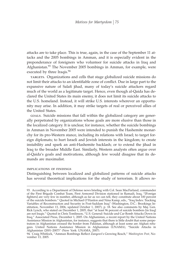attacks are to take place. This is true, again, in the case of the September 11 attacks and the 2005 bombings in Amman, and it is especially evident in the preponderance of foreigners who volunteer for suicide attacks in Iraq and Afghanistan.<sup>93</sup> The November 2005 bombings in Amman, for example, were executed by three Iraqis.<sup>94</sup>

TARGETS. Organizations and cells that stage globalized suicide missions do not limit their attacks to an identifiable zone of conflict. Due in large part to the expansive nature of Salafi jihad, many of today's suicide attackers regard much of the world as a legitimate target. Hence, even though al-Qaida has declared the United States its main enemy, it does not limit its suicide attacks to the U.S. homeland. Instead, it will strike U.S. interests wherever an opportunity may arise. In addition, it may strike targets of real or perceived allies of the United States.

goals. Suicide missions that fall within the globalized category are generally perpetrated by organizations whose goals are more elusive than those in the localized category. It is unclear, for instance, whether the suicide bombings in Amman in November 2005 were intended to punish the Hashemite monarchy for its pro-Western stance, including its relations with Israel; to target foreign diplomats; to hurt Israeli and Jewish interests in the kingdom; to create instability and spark an anti-Hashemite backlash; or to extend the jihad in Iraq to the broader Middle East. Similarly, Western analysts often argue over al-Qaida's goals and motivations, although few would disagree that its demands are maximalist.

#### IMPLICATIONS OF FINDINGS

Distinguishing between localized and globalized patterns of suicide attacks has several theoretical implications for the study of terrorism. It allows re-

<sup>93.</sup> According to a Department of Defense news briefing with Col. Sean MacFarland, commander of the First Brigade Combat Team, First Armored Division stationed in Ramadi, Iraq, "[Foreign fighters] are very few in number, although as far as we can tell, they constitute about 100 percent of the suicide bombers." Quoted in Michael O'Hanlon and Nina Kamp, eds., "Iraq Index: Tracking Variables of Reconstruction and Security in Post-Saddam Iraq" (Washington, D.C.: Brookings Institution, November 13, 2006, updated October 1, 2007), p. 18. See also comments by Maj. Gen. Rick Lynch, who stated on December 1, 2005, that "at least 96 percent of suicide bombers [in Iraq] are not Iraqis." Quoted in Chris Tomlinson, "U.S. General: Suicide and Car Bomb Attacks Down in Iraq," Associated Press, December 1, 2005. On Afghanistan, a recent report by the United Nations Assistance Mission in Afghanistan, for instance, suggests that there is little doubt that some perpetrators in Afghanistan crossed the border from Pakistan, although at least some are Afghan refugees. United Nations Assistance Mission in Afghanistan (UNAMA), "Suicide Attacks in Afghanistan (2001–2007)" (New York: UNAMA, 2007).

<sup>94.</sup> Craig Whitlock, "Amman Bombings Reflect Zarqawi's Growing Reach," *Washington Post*, November 13, 2005.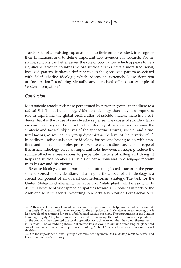searchers to place existing explanations into their proper context, to recognize their limitations, and to define important new avenues for research. For instance, scholars can better assess the role of occupation, which appears to be a significant factor in countries whose suicide attacks have a more traditional, localized pattern. It plays a different role in the globalized pattern associated with Salafi jihadist ideology, which adopts an extremely loose definition of "occupation," rendering virtually any perceived offense an example of Western occupation.<sup>95</sup>

# *Conclusion*

Most suicide attacks today are perpetrated by terrorist groups that adhere to a radical Salafi jihadist ideology. Although ideology thus plays an important role in explaining the global proliferation of suicide attacks, there is no evidence that it is the cause of suicide attacks per se. The causes of suicide attacks are complex: they can be found in the interplay of personal motivations, the strategic and tactical objectives of the sponsoring groups, societal and structural factors, as well as intergroup dynamics at the level of the terrorist cell.<sup>96</sup> In addition, individuals acquire ideology for reasons having to do with emotions and beliefs—a complex process whose examination exceeds the scope of this article. Ideology plays an important role, however, in helping reduce the suicide attacker's reservations to perpetrate the acts of killing and dying. It helps the suicide bomber justify his or her actions and to disengage morally from his act and his victims.

Because ideology is an important—and often neglected—factor in the genesis and spread of suicide attacks, challenging the appeal of this ideology is a crucial component of an overall counterterrorism strategy. The task for the United States in challenging the appeal of Salafi jihad will be particularly difficult because of widespread antipathies toward U.S. policies in parts of the Arab and Muslim world. According to a forty-seven-nation Pew Global Atti-

<sup>95.</sup> A theoretical division of suicide attacks into two patterns also helps contextualize the outbidding thesis. That explanation may account for the adoption of suicide attacks in some cases, but is less capable of accounting for cases of globalized suicide missions. The perpetrators of the London bombings of July 2005, for example, hardly vied for the sympathies of the domestic population on the contrary, they detested the local population to such an extent that they blew themselves up in its midst. The outbidding thesis is therefore less relevant to our understanding of globalized suicide missions because the importance of killing "infidels" seems to supersede organizational rivalries.

<sup>96.</sup> On the importance of small group dynamics, see Sageman, *Understanding Terror Networks;* and Hafez, *Suicide Bombers in Iraq.*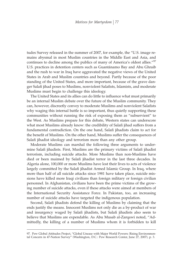tudes Survey released in the summer of 2007, for example, the "U.S. image remains abysmal in most Muslim countries in the Middle East and Asia, and continues to decline among the publics of many of America's oldest allies."<sup>97</sup> U.S. practices in detention centers such as Guantánamo Bay and Abu Ghraib and the rush to war in Iraq have aggravated the negative views of the United States in Arab and Muslim countries and beyond. Partly because of the poor standing of the United States, and more important, because of the grave danger Salafi jihad poses to Muslims, nonviolent Salafists, Islamists, and moderate Muslims must begin to challenge this ideology.

The United States and its allies can do little to influence what must primarily be an internal Muslim debate over the future of the Muslim community. They can, however, discreetly convey to moderate Muslims and nonviolent Salafists why waging this internal battle is so important, thus quietly supporting these communities without running the risk of exposing them as "subservient" to the West. As Muslims prepare for this debate, Western states can underscore what most Muslims already know: the credibility of Salafi jihad suffers from a fundamental contradiction. On the one hand, Salafi jihadists claim to act for the benefit of Muslims. On the other hand, Muslims suffer the consequences of Salafi jihadist ideology and terrorism more than any other group.

Moderate Muslims can marshal the following three arguments to undermine Salafi jihadists. First, Muslims are the primary victims of Salafi jihadist terrorism, including suicide attacks. More Muslims than non-Muslims have died or been maimed by Salafi jihadist terror in the last three decades. In Algeria alone, 100,000 or more Muslims have lost their lives to acts of violence largely committed by the Salafi jihadist Armed Islamic Group. In Iraq, where more than half of all suicide attacks since 1981 have taken place, suicide missions have killed more Iraqi civilians than foreign military or foreign civilian personnel. In Afghanistan, civilians have been the prime victims of the growing number of suicide attacks, even if these attacks were aimed at members of the International Security Assistance Force. In Pakistan, too, an increasing number of suicide attacks have targeted the indigenous population.

Second, Salafi jihadists defend the killing of Muslims by claiming that the ends justify the means. Innocent Muslims not only die as a by-product of war and insurgency waged by Salafi jihadists, but Salafi jihadists also seem to believe that Muslims are expendable. As Abu Musab al-Zarqawi noted, "Admittedly, the killing of a number of Muslims whom it is forbidden to kill

<sup>97.</sup> Pew Global Attitudes Project, "Global Unease with Major World Powers: Rising Environmental Concern in 47-Nation Survey" (Washington, D.C.: Pew Research Center, June 27, 2007), p. 3.